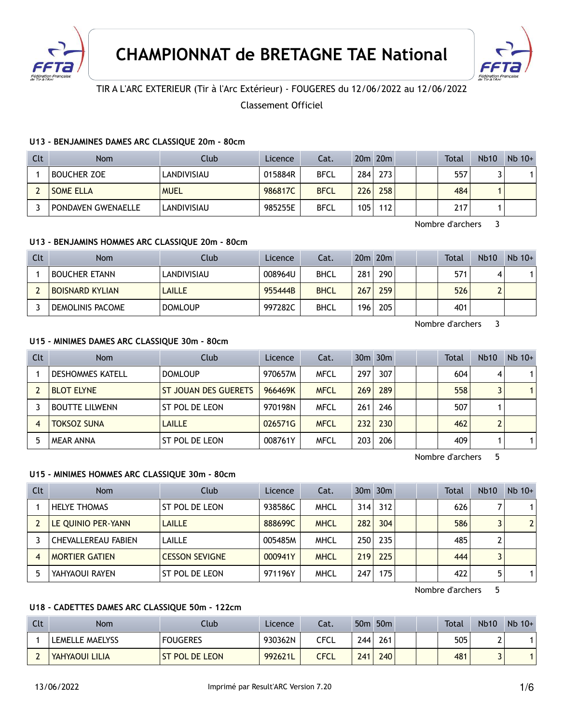



## TIR A L'ARC EXTERIEUR (Tir à l'Arc Extérieur) - FOUGERES du 12/06/2022 au 12/06/2022

Classement Officiel

### **U13 - BENJAMINES DAMES ARC CLASSIQUE 20m - 80cm**

| Clt | <b>Nom</b>                | Club        | Licence | Cat.        |     | $20m$ $20m$ |  | <b>Total</b> | <b>Nb10</b> | $Nb$ 10+ |
|-----|---------------------------|-------------|---------|-------------|-----|-------------|--|--------------|-------------|----------|
|     | <b>BOUCHER ZOE</b>        | LANDIVISIAU | 015884R | <b>BFCL</b> | 284 | 273         |  | 557          |             |          |
|     | <b>SOME ELLA</b>          | <b>MUEL</b> | 986817C | <b>BFCL</b> | 226 | 258         |  | 484          |             |          |
|     | <b>PONDAVEN GWENAELLE</b> | LANDIVISIAU | 985255E | <b>BFCL</b> | 105 | 112         |  | 217          |             |          |

Nombre d'archers 3

### **U13 - BENJAMINS HOMMES ARC CLASSIQUE 20m - 80cm**

| Clt | <b>Nom</b>             | Club           | Licence | Cat.        |      | $20m$ $20m$ |  | Total | <b>Nb10</b> | $Nb$ 10+ |
|-----|------------------------|----------------|---------|-------------|------|-------------|--|-------|-------------|----------|
|     | <b>BOUCHER ETANN</b>   | LANDIVISIAU    | 008964U | <b>BHCL</b> | 281  | 290         |  | 571   | Δ           |          |
|     | <b>BOISNARD KYLIAN</b> | <b>LAILLE</b>  | 955444B | <b>BHCL</b> | 267. | 259         |  | 526   | ı           |          |
|     | DEMOLINIS PACOME       | <b>DOMLOUP</b> | 997282C | <b>BHCL</b> | 196  | 205         |  | 401   |             |          |

Nombre d'archers 3

#### **U15 - MINIMES DAMES ARC CLASSIQUE 30m - 80cm**

| <b>Clt</b> | Nom                     | Club                        | Licence | Cat.        |     | $30m$ $30m$ |  | <b>Total</b> | <b>Nb10</b> | $Nb$ 10+     |
|------------|-------------------------|-----------------------------|---------|-------------|-----|-------------|--|--------------|-------------|--------------|
|            | <b>DESHOMMES KATELL</b> | <b>DOMLOUP</b>              | 970657M | <b>MFCL</b> | 297 | 307         |  | 604          | 4           | $\mathbf 1$  |
|            | <b>BLOT ELYNE</b>       | <b>ST JOUAN DES GUERETS</b> | 966469K | <b>MFCL</b> | 269 | 289         |  | 558          |             | $\mathbf{1}$ |
|            | <b>BOUTTE LILWENN</b>   | ST POL DE LEON              | 970198N | <b>MFCL</b> | 261 | 246         |  | 507          |             |              |
|            | <b>TOKSOZ SUNA</b>      | <b>LAILLE</b>               | 026571G | <b>MFCL</b> | 232 | 230         |  | 462          |             |              |
|            | <b>MEAR ANNA</b>        | ST POL DE LEON              | 008761Y | <b>MFCL</b> | 203 | 206         |  | 409          |             | $\mathbf 1$  |

Nombre d'archers 5

### **U15 - MINIMES HOMMES ARC CLASSIQUE 30m - 80cm**

| <b>Clt</b> | <b>Nom</b>            | Club                  | Licence | Cat.        |                  | $30m$ $30m$ |  | Total | <b>Nb10</b> | $Nb$ 10+       |
|------------|-----------------------|-----------------------|---------|-------------|------------------|-------------|--|-------|-------------|----------------|
|            | <b>HELYE THOMAS</b>   | ST POL DE LEON        | 938586C | MHCL        | 314              | 312         |  | 626   |             |                |
|            | LE QUINIO PER-YANN    | <b>LAILLE</b>         | 888699C | <b>MHCL</b> | 282              | 304         |  | 586   |             | $\overline{2}$ |
|            | CHEVALLEREAU FABIEN   | LAILLE                | 005485M | <b>MHCL</b> | 250 <sup>1</sup> | 235         |  | 485   |             |                |
|            | <b>MORTIER GATIEN</b> | <b>CESSON SEVIGNE</b> | 000941Y | <b>MHCL</b> | 219              | 225         |  | 444   |             |                |
|            | YAHYAOUI RAYEN        | ST POL DE LEON        | 971196Y | MHCL        | 247              | 175         |  | 422   |             |                |

Nombre d'archers 5

### **U18 - CADETTES DAMES ARC CLASSIQUE 50m - 122cm**

| Clt | Nom             | Club            | Licence | Cat. |     | 50 <sub>m</sub> 50 <sub>m</sub> |  | Total | <b>Nb10</b> | Nb<br>$10+$ |
|-----|-----------------|-----------------|---------|------|-----|---------------------------------|--|-------|-------------|-------------|
|     | LEMELLE MAELYSS | <b>FOUGERES</b> | 930362N | CFCL | 244 | 261                             |  | 505   |             |             |
|     | YAHYAOUI LILIA  | ST POL DE LEON  | 992621L | CFCL | 241 | 240                             |  | 481   |             |             |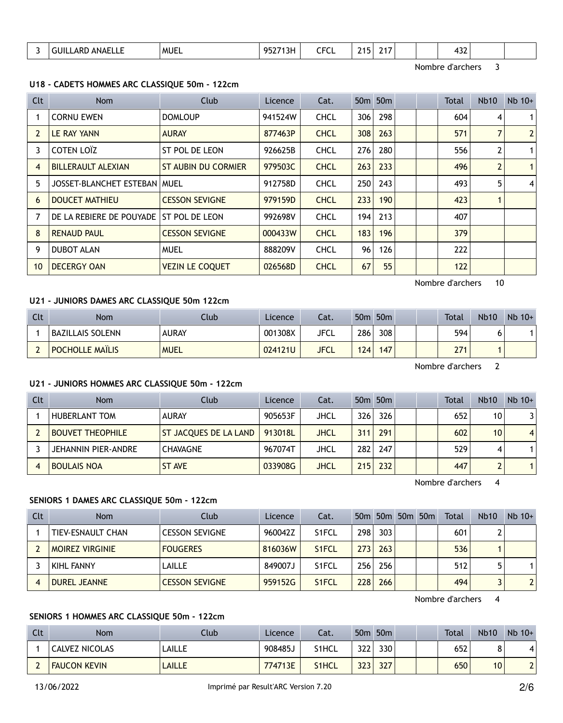| . -<br><b>ANA</b><br>л.<br>-- | <b>MUE</b><br>$\sim$ $\sim$ $\sim$ $\sim$ $\sim$ $\sim$ $\sim$ $\sim$ | ດເ<br>.<br><u>.</u> | $- - -$<br>- 1<br>urul<br>___ | -<br>$\sim$ | . . |  | ℸJŁ<br>__ |  |
|-------------------------------|-----------------------------------------------------------------------|---------------------|-------------------------------|-------------|-----|--|-----------|--|
|                               |                                                                       |                     |                               |             |     |  |           |  |

Nombre d'archers 3

### **U18 - CADETS HOMMES ARC CLASSIQUE 50m - 122cm**

| Clt | Nom                            | <b>Club</b>                | Licence | Cat.        |     | 50 <sub>m</sub> 50 <sub>m</sub> |  | <b>Total</b> | <b>Nb10</b> | $Nb$ 10+       |
|-----|--------------------------------|----------------------------|---------|-------------|-----|---------------------------------|--|--------------|-------------|----------------|
|     | <b>CORNU EWEN</b>              | <b>DOMLOUP</b>             | 941524W | <b>CHCL</b> | 306 | 298                             |  | 604          | 4           | $\mathbf{1}$   |
|     | LE RAY YANN                    | <b>AURAY</b>               | 877463P | <b>CHCL</b> | 308 | 263                             |  | 571          |             | $\overline{2}$ |
| 3   | COTEN LOÏZ                     | ST POL DE LEON             | 926625B | <b>CHCL</b> | 276 | 280                             |  | 556          | 2           | $\mathbf{1}$   |
| 4   | <b>BILLERAULT ALEXIAN</b>      | <b>ST AUBIN DU CORMIER</b> | 979503C | <b>CHCL</b> | 263 | 233                             |  | 496          | 2           | $\mathbf{1}$   |
| 5   | JOSSET-BLANCHET ESTEBAN   MUEL |                            | 912758D | <b>CHCL</b> | 250 | 243                             |  | 493          | 5           | $\overline{4}$ |
| 6   | <b>DOUCET MATHIEU</b>          | <b>CESSON SEVIGNE</b>      | 979159D | <b>CHCL</b> | 233 | 190                             |  | 423          |             |                |
|     | DE LA REBIERE DE POUYADE       | ST POL DE LEON             | 992698V | <b>CHCL</b> | 194 | 213                             |  | 407          |             |                |
| 8   | <b>RENAUD PAUL</b>             | <b>CESSON SEVIGNE</b>      | 000433W | <b>CHCL</b> | 183 | 196                             |  | 379          |             |                |
| 9   | <b>DUBOT ALAN</b>              | <b>MUEL</b>                | 888209V | <b>CHCL</b> | 96  | 126                             |  | 222          |             |                |
| 10  | <b>DECERGY OAN</b>             | <b>VEZIN LE COQUET</b>     | 026568D | <b>CHCL</b> | 67  | 55                              |  | 122          |             |                |

Nombre d'archers 10

#### **U21 - JUNIORS DAMES ARC CLASSIQUE 50m 122cm**

| Clt | Nom                    | Club         | Licence | Cat.        |     | 50 <sub>m</sub> 50 <sub>m</sub> | Total | Nb10 | $Nb$ 10+ |
|-----|------------------------|--------------|---------|-------------|-----|---------------------------------|-------|------|----------|
|     | BAZILLAIS SOLENN       | <b>AURAY</b> | 001308X | JFCL        | 286 | 308                             | 594   |      |          |
|     | <b>POCHOLLE MAÏLIS</b> | <b>MUEL</b>  | 024121U | <b>JFCL</b> | 124 | 147                             | 271   |      |          |

Nombre d'archers 2

#### **U21 - JUNIORS HOMMES ARC CLASSIQUE 50m - 122cm**

| Clt | <b>Nom</b>              | Club                         | Licence | Cat. |     | 50 <sub>m</sub> 50 <sub>m</sub> |  | Total | <b>Nb10</b>     | $Nb$ 10+       |
|-----|-------------------------|------------------------------|---------|------|-----|---------------------------------|--|-------|-----------------|----------------|
|     | <b>HUBERLANT TOM</b>    | <b>AURAY</b>                 | 905653F | JHCL | 326 | 326                             |  | 652   | 10              | 3              |
|     | <b>BOUVET THEOPHILE</b> | <b>ST JACQUES DE LA LAND</b> | 913018L | JHCL | 311 | 291                             |  | 602   | 10 <sup>1</sup> | $\overline{4}$ |
|     | JEHANNIN PIER-ANDRE     | <b>CHAVAGNE</b>              | 967074T | JHCL | 282 | 247                             |  | 529   | 4               | 1              |
|     | <b>BOULAIS NOA</b>      | <b>ST AVE</b>                | 033908G | JHCL | 215 | 232                             |  | 447   |                 | $\mathbf{1}$   |

Nombre d'archers 4

### **SENIORS 1 DAMES ARC CLASSIQUE 50m - 122cm**

| Clt | <b>Nom</b>             | Club                  | Licence | Cat.               |      |          | 50m 50m 50m 50m | Total | <b>Nb10</b> | $Nb$ 10+       |
|-----|------------------------|-----------------------|---------|--------------------|------|----------|-----------------|-------|-------------|----------------|
|     | TIEV-ESNAULT CHAN      | 'CESSON SEVIGNE       | 960042Z | S <sub>1</sub> FCL | 298  | 303      |                 | 601   |             |                |
|     | <b>MOIREZ VIRGINIE</b> | <b>FOUGERES</b>       | 816036W | S <sub>1</sub> FCL | 273  | 263      |                 | 536   |             |                |
|     | KIHL FANNY             | LAILLE                | 849007J | S <sub>1</sub> FCL | 256  | 256      |                 | 512   |             | 1              |
|     | <b>DUREL JEANNE</b>    | <b>CESSON SEVIGNE</b> | 959152G | S <sub>1</sub> FCL | 2281 | $266 \,$ |                 | 494   |             | $\overline{2}$ |

Nombre d'archers 4

### **SENIORS 1 HOMMES ARC CLASSIQUE 50m - 122cm**

| Clt | <b>Nom</b>          | Club         | Licence | Cat.               | 50 <sub>m</sub> | 50 <sub>m</sub> |  | <b>Total</b> | <b>Nb10</b> | $Nb$ 10+     |
|-----|---------------------|--------------|---------|--------------------|-----------------|-----------------|--|--------------|-------------|--------------|
|     | CALVEZ NICOLAS      | LAILLE       | 908485J | S1HCL              | 322             | 330             |  | 652          | o           | 4            |
|     | <b>FAUCON KEVIN</b> | <b>AILLE</b> | 774713E | S <sub>1</sub> HCL | 323             | 327             |  | 650          | 10          | $\mathbf{r}$ |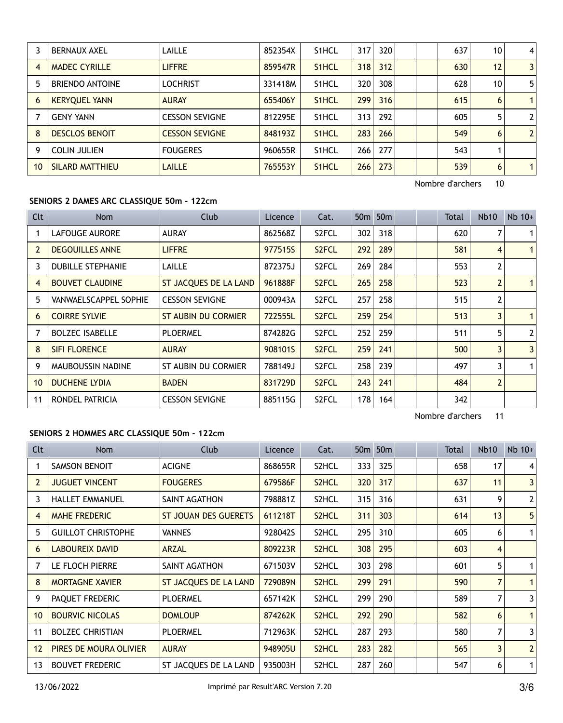|    | <b>BERNAUX AXEL</b>    | LAILLE                | 852354X | S <sub>1</sub> HCL | 317 | 320 |  | 637 | 10 | 4              |
|----|------------------------|-----------------------|---------|--------------------|-----|-----|--|-----|----|----------------|
| 4  | <b>MADEC CYRILLE</b>   | <b>LIFFRE</b>         | 859547R | S <sub>1</sub> HCL | 318 | 312 |  | 630 | 12 | $\mathbf{3}$   |
|    | <b>BRIENDO ANTOINE</b> | <b>LOCHRIST</b>       | 331418M | S <sub>1</sub> HCL | 320 | 308 |  | 628 | 10 | 5              |
| 6  | <b>KERYQUEL YANN</b>   | <b>AURAY</b>          | 655406Y | S <sub>1</sub> HCL | 299 | 316 |  | 615 | 6  | $\mathbf{1}$   |
|    | <b>GENY YANN</b>       | <b>CESSON SEVIGNE</b> | 812295E | S <sub>1</sub> HCL | 313 | 292 |  | 605 | 5  | $\overline{2}$ |
| 8  | <b>DESCLOS BENOIT</b>  | <b>CESSON SEVIGNE</b> | 848193Z | S <sub>1</sub> HCL | 283 | 266 |  | 549 | 6  | $\overline{2}$ |
| 9  | <b>COLIN JULIEN</b>    | <b>FOUGERES</b>       | 960655R | S <sub>1</sub> HCL | 266 | 277 |  | 543 |    |                |
| 10 | SILARD MATTHIEU        | <b>LAILLE</b>         | 765553Y | S <sub>1</sub> HCL | 266 | 273 |  | 539 | 6  | $\mathbf{1}$   |

Nombre d'archers 10

## **SENIORS 2 DAMES ARC CLASSIQUE 50m - 122cm**

| Clt            | Nom                          | Club                  | Licence | Cat.               |     | 50 <sub>m</sub> 50 <sub>m</sub> |  | Total | <b>Nb10</b>    | $Nb$ 10+       |
|----------------|------------------------------|-----------------------|---------|--------------------|-----|---------------------------------|--|-------|----------------|----------------|
|                | <b>LAFOUGE AURORE</b>        | <b>AURAY</b>          | 862568Z | S2FCL              | 302 | 318                             |  | 620   |                | 1 <sup>1</sup> |
| $\overline{2}$ | <b>DEGOUILLES ANNE</b>       | <b>LIFFRE</b>         | 977515S | S <sub>2</sub> FCL | 292 | 289                             |  | 581   | $\overline{4}$ | 1 <sup>1</sup> |
| 3              | <b>DUBILLE STEPHANIE</b>     | LAILLE                | 872375J | S <sub>2</sub> FCL | 269 | 284                             |  | 553   | 2              |                |
| 4              | <b>BOUVET CLAUDINE</b>       | ST JACQUES DE LA LAND | 961888F | S <sub>2</sub> FCL | 265 | 258                             |  | 523   | 2              | 1 <sup>1</sup> |
| 5              | <b>VANWAELSCAPPEL SOPHIE</b> | <b>CESSON SEVIGNE</b> | 000943A | S2FCL              | 257 | 258                             |  | 515   | 2              |                |
| 6              | <b>COIRRE SYLVIE</b>         | ST AUBIN DU CORMIER   | 722555L | S <sub>2</sub> FCL | 259 | 254                             |  | 513   | $\overline{3}$ | 1 <sup>1</sup> |
| 7              | <b>BOLZEC ISABELLE</b>       | <b>PLOERMEL</b>       | 874282G | S <sub>2</sub> FCL | 252 | 259                             |  | 511   | 5              | 2 <sup>1</sup> |
| 8              | <b>SIFI FLORENCE</b>         | <b>AURAY</b>          | 908101S | S <sub>2</sub> FCL | 259 | 241                             |  | 500   | 3              | 3 <sup>1</sup> |
| 9              | <b>MAUBOUSSIN NADINE</b>     | ST AUBIN DU CORMIER   | 788149J | S2FCL              | 258 | 239                             |  | 497   | 3              | 1 <sup>1</sup> |
| 10             | <b>DUCHENE LYDIA</b>         | <b>BADEN</b>          | 831729D | S <sub>2</sub> FCL | 243 | 241                             |  | 484   | $\overline{2}$ |                |
| 11             | RONDEL PATRICIA              | <b>CESSON SEVIGNE</b> | 885115G | S <sub>2</sub> FCL | 178 | 164                             |  | 342   |                |                |

# Nombre d'archers 11

### **SENIORS 2 HOMMES ARC CLASSIQUE 50m - 122cm**

| <b>Clt</b>      | Nom                       | Club                  | Licence | Cat.               |     | 50 <sub>m</sub> 50 <sub>m</sub> |  | Total | Nb <sub>10</sub> | $Nb$ 10+                |
|-----------------|---------------------------|-----------------------|---------|--------------------|-----|---------------------------------|--|-------|------------------|-------------------------|
|                 | <b>SAMSON BENOIT</b>      | <b>ACIGNE</b>         | 868655R | S <sub>2</sub> HCL | 333 | 325                             |  | 658   | 17               | 4                       |
| 2               | <b>JUGUET VINCENT</b>     | <b>FOUGERES</b>       | 679586F | S <sub>2</sub> HCL | 320 | 317                             |  | 637   | 11               | 3 <sup>1</sup>          |
| 3               | <b>HALLET EMMANUEL</b>    | SAINT AGATHON         | 798881Z | S <sub>2</sub> HCL | 315 | 316                             |  | 631   | 9                | $\mathbf{2}$            |
| 4               | <b>MAHE FREDERIC</b>      | ST JOUAN DES GUERETS  | 611218T | S <sub>2</sub> HCL | 311 | 303                             |  | 614   | 13               | 5 <sup>1</sup>          |
| 5               | <b>GUILLOT CHRISTOPHE</b> | <b>VANNES</b>         | 928042S | S <sub>2</sub> HCL | 295 | 310                             |  | 605   | 6                |                         |
| 6               | <b>LABOUREIX DAVID</b>    | <b>ARZAL</b>          | 809223R | S <sub>2</sub> HCL | 308 | 295                             |  | 603   | 4                |                         |
| 7               | LE FLOCH PIERRE           | SAINT AGATHON         | 671503V | S <sub>2</sub> HCL | 303 | 298                             |  | 601   | 5                |                         |
| 8               | <b>MORTAGNE XAVIER</b>    | ST JACQUES DE LA LAND | 729089N | S <sub>2</sub> HCL | 299 | 291                             |  | 590   | 7                |                         |
| 9               | PAQUET FREDERIC           | <b>PLOERMEL</b>       | 657142K | S <sub>2</sub> HCL | 299 | 290                             |  | 589   | 7                | 3                       |
| 10 <sup>°</sup> | <b>BOURVIC NICOLAS</b>    | <b>DOMLOUP</b>        | 874262K | S <sub>2</sub> HCL | 292 | 290                             |  | 582   | 6                |                         |
| 11              | <b>BOLZEC CHRISTIAN</b>   | <b>PLOERMEL</b>       | 712963K | S <sub>2</sub> HCL | 287 | 293                             |  | 580   |                  | $\overline{\mathbf{3}}$ |
| 12              | PIRES DE MOURA OLIVIER    | <b>AURAY</b>          | 948905U | S <sub>2</sub> HCL | 283 | 282                             |  | 565   | $\overline{3}$   | $\overline{2}$          |
| 13              | <b>BOUVET FREDERIC</b>    | ST JACOUES DE LA LAND | 935003H | S2HCL              | 287 | 260                             |  | 547   | 6                |                         |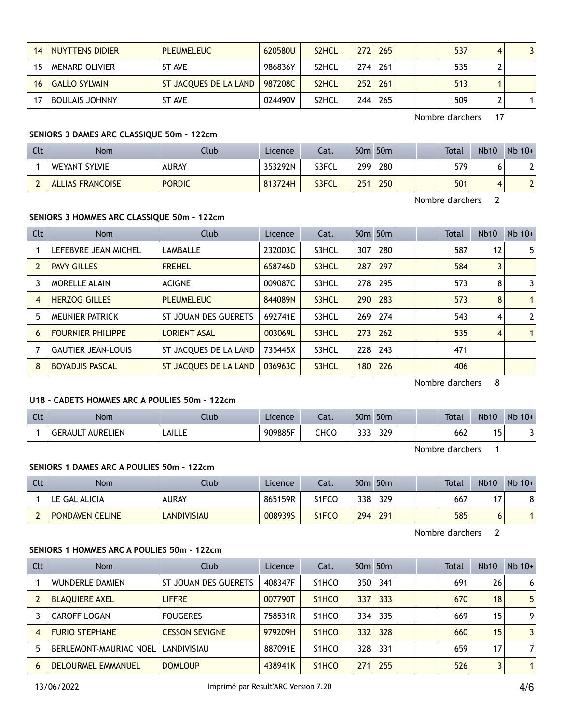| 14 | NUYTTENS DIDIER       | <b>PLEUMELEUC</b>     | 620580U | S <sub>2</sub> HCL | 272 | 265 |  | 537 | 4 | 3 |
|----|-----------------------|-----------------------|---------|--------------------|-----|-----|--|-----|---|---|
|    | MENARD OLIVIER        | ST AVE                | 986836Y | S2HCL              | 274 | 261 |  | 535 |   |   |
| 16 | GALLO SYLVAIN         | ST JACQUES DE LA LAND | 987208C | S <sub>2</sub> HCL | 252 | 261 |  | 513 |   |   |
|    | <b>BOULAIS JOHNNY</b> | ST AVE                | 024490V | S2HCL              | 244 | 265 |  | 509 |   |   |

Nombre d'archers 17

### **SENIORS 3 DAMES ARC CLASSIQUE 50m - 122cm**

| Clt | Nom                     | Club          | Licence | Cat.  | 50 <sub>m</sub> | 50 <sub>m</sub> |  | Total | <b>Nb10</b> | $Nb$ 10+ |
|-----|-------------------------|---------------|---------|-------|-----------------|-----------------|--|-------|-------------|----------|
|     | WEYANT SYLVIE           | <b>AURAY</b>  | 353292N | S3FCL | 299             | 280             |  | 579   | O           |          |
|     | <b>ALLIAS FRANCOISE</b> | <b>PORDIC</b> | 813724H | S3FCL | 251             | 250             |  | 501   |             |          |

Nombre d'archers 2

### **SENIORS 3 HOMMES ARC CLASSIQUE 50m - 122cm**

| <b>Clt</b> | Nom                       | Club                  | Licence | Cat.  |     | 50 <sub>m</sub> 50 <sub>m</sub> |  | <b>Total</b> | Nb10              | $Nb$ 10+       |
|------------|---------------------------|-----------------------|---------|-------|-----|---------------------------------|--|--------------|-------------------|----------------|
|            | LEFEBVRE JEAN MICHEL      | LAMBALLE              | 232003C | S3HCL | 307 | 280                             |  | 587          | $12 \overline{ }$ | 5              |
|            | <b>PAVY GILLES</b>        | <b>FREHEL</b>         | 658746D | S3HCL | 287 | 297                             |  | 584          | 3                 |                |
|            | <b>MORELLE ALAIN</b>      | <b>ACIGNE</b>         | 009087C | S3HCL | 278 | 295                             |  | 573          | 8                 | 3              |
| 4          | <b>HERZOG GILLES</b>      | <b>PLEUMELEUC</b>     | 844089N | S3HCL | 290 | 283                             |  | 573          | 8                 | $\mathbf{1}$   |
|            | MEUNIER PATRICK           | ST JOUAN DES GUERETS  | 692741E | S3HCL | 269 | 274                             |  | 543          | 4                 | $\overline{2}$ |
| 6          | <b>FOURNIER PHILIPPE</b>  | <b>LORIENT ASAL</b>   | 003069L | S3HCL | 273 | 262                             |  | 535          | 4                 | $\mathbf{1}$   |
|            | <b>GAUTIER JEAN-LOUIS</b> | ST JACQUES DE LA LAND | 735445X | S3HCL | 228 | 243                             |  | 471          |                   |                |
| 8          | <b>BOYADJIS PASCAL</b>    | ST JACQUES DE LA LAND | 036963C | S3HCL | 180 | 226                             |  | 406          |                   |                |

Nombre d'archers 8

### **U18 - CADETS HOMMES ARC A POULIES 50m - 122cm**

| Clt | <b>Nom</b>                              | .lub          | Licence | ۰.,<br>٥dι. | 50 <sub>m</sub>        | 50 <sub>m</sub> |  | <b>Total</b> | <b>Nb10</b> | <b>Nb</b><br>$10+$ |
|-----|-----------------------------------------|---------------|---------|-------------|------------------------|-----------------|--|--------------|-------------|--------------------|
|     | LIEN.<br><b>ALIREL</b><br><b>GERAUL</b> | <b>LAILLE</b> | 909885F | CHCO        | $\sim$<br>JJJ <b>.</b> | 329             |  | 662          | . .<br>ر .  |                    |

Nombre d'archers 1

### **SENIORS 1 DAMES ARC A POULIES 50m - 122cm**

| Clt | Nom                    | Club         | Licence | Cat.  | 50 <sub>m</sub> | 50 <sub>m</sub> |  | <b>Total</b> | <b>Nb10</b> | $Nb$ 10+ |
|-----|------------------------|--------------|---------|-------|-----------------|-----------------|--|--------------|-------------|----------|
|     | LE GAL ALICIA          | <b>AURAY</b> | 865159R | S1FCO | 338             | 329             |  | 667          | . .         | 8        |
|     | <b>PONDAVEN CELINE</b> | LANDIVISIAU  | 0089395 | S1FCO | 294             | 291             |  | 585          |             |          |

Nombre d'archers 2

#### **SENIORS 1 HOMMES ARC A POULIES 50m - 122cm**

| <b>Clt</b>     | <b>Nom</b>                    | Club                  | Licence | Cat.                            |     | 50 <sub>m</sub> 50 <sub>m</sub> |  | <b>Total</b> | <b>Nb10</b> | $Nb$ 10+ |
|----------------|-------------------------------|-----------------------|---------|---------------------------------|-----|---------------------------------|--|--------------|-------------|----------|
|                | <b>WUNDERLE DAMIEN</b>        | ST JOUAN DES GUERETS  | 408347F | S <sub>1</sub> HCO              | 350 | 341                             |  | 691          | 26          | 6        |
|                | <b>BLAOUIERE AXEL</b>         | <b>LIFFRE</b>         | 007790T | S <sub>1</sub> HCO              | 337 | 333                             |  | 670          | 18          | 5        |
|                | <b>CAROFF LOGAN</b>           | <b>FOUGERES</b>       | 758531R | S <sub>1</sub> HCO              | 334 | 335                             |  | 669          | 15          | 9        |
| $\overline{4}$ | <b>FURIO STEPHANE</b>         | <b>CESSON SEVIGNE</b> | 979209H | S <sub>1</sub> HCO              | 332 | 328                             |  | 660          | 15          | 3        |
|                | <b>BERLEMONT-MAURIAC NOEL</b> | LANDIVISIAU           | 887091E | S <sub>1</sub> HCO              | 328 | 331                             |  | 659          | 17          | 7        |
| 6              | <b>DELOURMEL EMMANUEL</b>     | <b>DOMLOUP</b>        | 438941K | S <sub>1</sub> H <sub>C</sub> O | 271 | 255                             |  | 526          |             | 1        |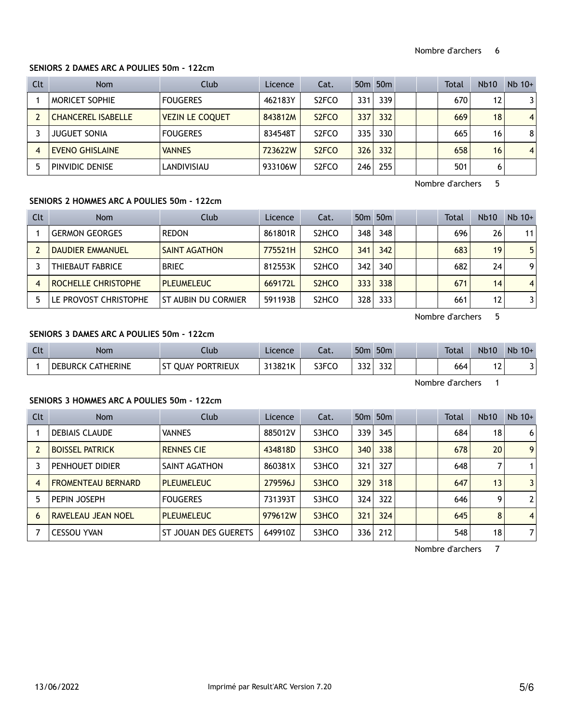### **SENIORS 2 DAMES ARC A POULIES 50m - 122cm**

| <b>Clt</b> | Nom                       | Club                   | Licence | Cat.               |     | 50 <sub>m</sub> 50 <sub>m</sub> |  | Total | Nb10 | $Nb$ 10+       |
|------------|---------------------------|------------------------|---------|--------------------|-----|---------------------------------|--|-------|------|----------------|
|            | MORICET SOPHIE            | <b>FOUGERES</b>        | 462183Y | S <sub>2</sub> FCO | 331 | 339                             |  | 670   | 12   |                |
|            | <b>CHANCEREL ISABELLE</b> | <b>VEZIN LE COQUET</b> | 843812M | S <sub>2</sub> FCO | 337 | 332                             |  | 669   | 18   | $\overline{4}$ |
|            | <b>JUGUET SONIA</b>       | <b>FOUGERES</b>        | 834548T | S <sub>2</sub> FCO | 335 | 330                             |  | 665   | 16   | 8              |
|            | <b>EVENO GHISLAINE</b>    | <b>VANNES</b>          | 723622W | S <sub>2</sub> FCO | 326 | 332                             |  | 658   | 16   | $\overline{4}$ |
|            | <b>PINVIDIC DENISE</b>    | LANDIVISIAU            | 933106W | S <sub>2</sub> FCO | 246 | 255                             |  | 501   | 6    |                |

Nombre d'archers 5

### **SENIORS 2 HOMMES ARC A POULIES 50m - 122cm**

| Clt | <b>Nom</b>            | Club                 | Licence | Cat.                            |     | 50 <sub>m</sub> 50 <sub>m</sub> |  | <b>Total</b> | <b>Nb10</b> | $Nb$ 10+       |
|-----|-----------------------|----------------------|---------|---------------------------------|-----|---------------------------------|--|--------------|-------------|----------------|
|     | <b>GERMON GEORGES</b> | <b>REDON</b>         | 861801R | S <sub>2</sub> HCO              | 348 | 348                             |  | 696          | 26          | 11             |
|     | DAUDIER EMMANUEL      | <b>SAINT AGATHON</b> | 775521H | S <sub>2</sub> H <sub>C</sub> O | 341 | 342                             |  | 683          | 19          | 5              |
|     | THIEBAUT FABRICE      | <b>BRIEC</b>         | 812553K | S <sub>2</sub> HCO              | 342 | 340                             |  | 682          | 24          | 9              |
| 4   | ROCHELLE CHRISTOPHE   | <b>PLEUMELEUC</b>    | 669172L | S <sub>2</sub> H <sub>CO</sub>  | 333 | 338                             |  | 671          | 14          | $\overline{4}$ |
| 5   | LE PROVOST CHRISTOPHE | ST AUBIN DU CORMIER  | 591193B | S <sub>2</sub> HCO              | 328 | 333                             |  | 661          | 12          | 3              |

Nombre d'archers 5

### **SENIORS 3 DAMES ARC A POULIES 50m - 122cm**

| Clt | <b>Nom</b>                         | Ilub                                | Licence | Lat.  | 50 <sub>m</sub> | 50 <sub>m</sub> |  | Total | Nb <sub>1</sub> C | <b>Nb</b><br>$10+$ |
|-----|------------------------------------|-------------------------------------|---------|-------|-----------------|-----------------|--|-------|-------------------|--------------------|
|     | <b>CATHERINE</b><br><b>DEBURCK</b> | PORTRIEUX<br>$^{c+}$<br><b>OUAY</b> | 313821K | S3FCO | $\sim$<br>ے دد  | 332             |  | 664   |                   |                    |

Nombre d'archers 1

### **SENIORS 3 HOMMES ARC A POULIES 50m - 122cm**

| <b>Clt</b> | <b>Nom</b>                | Club                 | Licence | Cat.  |     | 50 <sub>m</sub> 50 <sub>m</sub> |  | Total | Nb10 | $Nb$ 10+       |
|------------|---------------------------|----------------------|---------|-------|-----|---------------------------------|--|-------|------|----------------|
|            | <b>DEBIAIS CLAUDE</b>     | <b>VANNES</b>        | 885012V | S3HCO | 339 | 345                             |  | 684   | 18   | 6              |
|            | <b>BOISSEL PATRICK</b>    | <b>RENNES CIE</b>    | 434818D | S3HCO | 340 | 338                             |  | 678   | 20   | 9              |
|            | PENHOUET DIDIER           | SAINT AGATHON        | 860381X | S3HCO | 321 | 327                             |  | 648   |      |                |
| 4          | <b>FROMENTEAU BERNARD</b> | <b>PLEUMELEUC</b>    | 279596J | S3HCO | 329 | 318                             |  | 647   | 13   | 3              |
| 5          | PEPIN JOSEPH              | <b>FOUGERES</b>      | 731393T | S3HCO | 324 | 322                             |  | 646   | 9    | $\overline{2}$ |
| 6          | RAVELEAU JEAN NOEL        | <b>PLEUMELEUC</b>    | 979612W | S3HCO | 321 | 324                             |  | 645   | 8    | $\overline{4}$ |
|            | <b>CESSOU YVAN</b>        | ST JOUAN DES GUERETS | 649910Z | S3HCO | 336 | 212                             |  | 548   | 18   | 7              |

Nombre d'archers 7